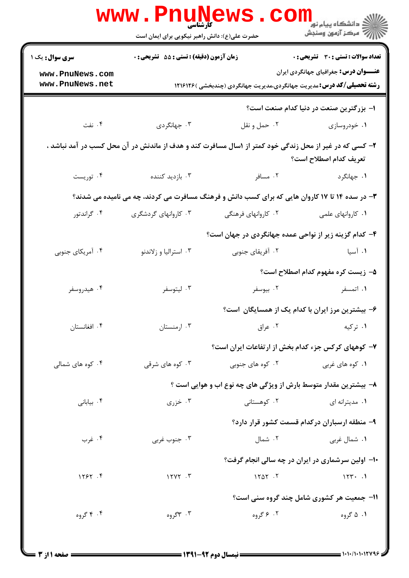|                                                                                                                                  | <b>WWW.Pnung</b><br>حضرت علی(ع): دانش راهبر نیکویی برای ایمان است |                     | ڪ دانشڪاه پيا <sub>م</sub> نور<br><mark>ر</mark> 7 مرڪز آزمون وسنڊش                                                          |  |  |  |
|----------------------------------------------------------------------------------------------------------------------------------|-------------------------------------------------------------------|---------------------|------------------------------------------------------------------------------------------------------------------------------|--|--|--|
| <b>سری سوال :</b> یک ۱                                                                                                           | زمان آزمون (دقیقه) : تستی : 55 آتشریحی : 0                        |                     | <b>تعداد سوالات : تستی : 30 ٪ تشریحی : 0</b>                                                                                 |  |  |  |
| www.PnuNews.com<br>www.PnuNews.net                                                                                               |                                                                   |                     | <b>عنـــوان درس:</b> جغرافیای جهانگردی ایران<br><b>رشته تحصیلی/کد درس:</b> مدیریت جهانگردی،مدیریت جهانگردی (چندبخشی )۱۲۱۶۱۲۶ |  |  |  |
| ا– بزرگترین صنعت در دنیا کدام صنعت است؟                                                                                          |                                                                   |                     |                                                                                                                              |  |  |  |
| ۰۴ نفت                                                                                                                           | ۰۳ جهانگردی                                                       | ۰۲ حمل و نقل        | ۰۱ خودروسازی                                                                                                                 |  |  |  |
| ۲- کسی که در غیر از محل زندگی خود کمتر از ۱سال مسافرت کند و هدف از ماندنش در آن محل کسب در آمد نباشد ،<br>تعريف كدام اصطلاح است؟ |                                                                   |                     |                                                                                                                              |  |  |  |
| ۰۴ توریست                                                                                                                        | ۰۳ بازدید کننده                                                   | ۰۲ مسافر            | ۰۱ جهانگرد                                                                                                                   |  |  |  |
| ۳- در سده ۱۴ تا ۱۷ کاروان هایی که برای کسب دانش و فرهنگ مسافرت می کردند، چه می نامیده می شدند؟                                   |                                                                   |                     |                                                                                                                              |  |  |  |
| ۰۴ گراندتور                                                                                                                      | ۰۳ کاروانهای گردشگری                                              | ۰۲ کاروانهای فرهنگی | ۰۱ کاروانهای علمی                                                                                                            |  |  |  |
| ۴– کدام گزینه زیر از نواحی عمده جهانگردی در جهان است؟                                                                            |                                                                   |                     |                                                                                                                              |  |  |  |
| ۰۴ آمریکای جنوبی                                                                                                                 | ۰۳ استرالیا و زلاندنو                                             | ۰۲ آفریقای جنوبی    | ۰۱ آسیا                                                                                                                      |  |  |  |
|                                                                                                                                  |                                                                   |                     | ۵- زیست کره مفهوم کدام اصطلاح است؟                                                                                           |  |  |  |
| ۰۴ هيدروسفر                                                                                                                      | ۰۳ ليتوسفر                                                        | ۰۲ بیوسفر           | ۱. اتمسفر                                                                                                                    |  |  |  |
|                                                                                                                                  |                                                                   |                     | ۶– بیشترین مرز ایران با کدام یک از همسایگان است؟                                                                             |  |  |  |
| ۰۴ افغانستان                                                                                                                     | ۰۳ ارمنستان                                                       | ۰۲ عراق             | ۰۱ ترکیه                                                                                                                     |  |  |  |
| ۷– کوههای کرکس جزء کدام بخش از ارتفاعات ایران است؟                                                                               |                                                                   |                     |                                                                                                                              |  |  |  |
| ۰۴ کوه های شمالی                                                                                                                 | ۰۳ کوه های شرقی                                                   | ۰۲ کوه های جنوبی    | ۰۱ کوه های غربی                                                                                                              |  |  |  |
| ۸– بیشترین مقدار متوسط بارش از ویژگی های چه نوع اب و هوایی است ؟                                                                 |                                                                   |                     |                                                                                                                              |  |  |  |
| ۰۴ بیابانی                                                                                                                       | ۰۳ خزری $\cdot$                                                   | ۰۲ کوهستانی         | ۰۱ مديترانه اي                                                                                                               |  |  |  |
|                                                                                                                                  |                                                                   |                     | ۹- منطقه ارسباران درکدام قسمت کشور قرار دارد؟                                                                                |  |  |  |
| ۰۴ غرب                                                                                                                           | ۰۳ جنوب غربی                                                      | ۰۲ شمال             | ۰۱ شمال غربی                                                                                                                 |  |  |  |
|                                                                                                                                  | ۱۰– اولین سرشماری در ایران در چه سالی انجام گرفت؟                 |                     |                                                                                                                              |  |  |  |
| 11997.9                                                                                                                          | $17YY \cdot Y$                                                    | 1101.7              | 157.1                                                                                                                        |  |  |  |
|                                                                                                                                  |                                                                   |                     | <b>۱۱- جمعیت هر کشوری شامل چند گروه سنی است</b> ؟                                                                            |  |  |  |
| ۰۴ گروه                                                                                                                          | ۰۳ ۳گروه                                                          | ۰۲ ۶ گروه           | ۰۱ ۵ گروه                                                                                                                    |  |  |  |
|                                                                                                                                  |                                                                   |                     |                                                                                                                              |  |  |  |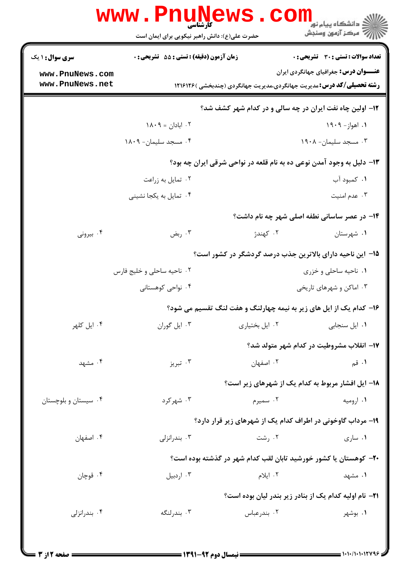|                                    | www.PnuNews<br>کارشناسی<br>حضرت علی(ع): دانش راهبر نیکویی برای ایمان است |                                                                              | ے<br>دانشگاہ پیام نو <mark>ر</mark><br>ر آمرڪز آزمون وسنڊش |
|------------------------------------|--------------------------------------------------------------------------|------------------------------------------------------------------------------|------------------------------------------------------------|
| <b>سری سوال : ۱ یک</b>             | <b>زمان آزمون (دقیقه) : تستی : 55 تشریحی : 0</b>                         |                                                                              | <b>تعداد سوالات : تستی : 30 ٪ تشریحی : 0</b>               |
| www.PnuNews.com<br>www.PnuNews.net |                                                                          | <b>رشته تحصیلی/کد درس:</b> مدیریت جهانگردی،مدیریت جهانگردی (چندبخشی )۱۲۱۶۱۲۶ | <b>عنـــوان درس:</b> جغرافیای جهانگردی ایران               |
|                                    |                                                                          | <b>۱۲</b> - اولین چاه نفت ایران در چه سالی و در کدام شهر کشف شد؟             |                                                            |
|                                    | ۰۲ ابادان = ۱۸۰۹                                                         |                                                                              | ۰۱ اهواز- ۱۹۰۹                                             |
|                                    | ۰۴ مسجد سليمان- ۱۸۰۹                                                     |                                                                              | ۰۳ مسجد سلیمان- ۱۹۰۸                                       |
|                                    |                                                                          | ۱۳- دلیل به وجود آمدن نوعی ده به نام قلعه در نواحی شرقی ایران چه بود؟        |                                                            |
|                                    | ۰۲ تمایل به زراعت                                                        |                                                                              | ۰۱ کمبود آب                                                |
|                                    | ۰۴ تمایل به یکجا نشینی                                                   |                                                                              | ۰۳ عدم امنیت                                               |
|                                    |                                                                          |                                                                              | ۱۴- در عصر ساسانی نطفه اصلی شهر چه نام داشت؟               |
| ۰۴ بیرونی                          | ۰۳ ربض                                                                   | ۰۲ کهندژ                                                                     | ۰۱ شهرستان                                                 |
|                                    |                                                                          | ۱۵– این ناحیه دارای بالاترین جذب درصد گردشگر در کشور است؟                    |                                                            |
|                                    | ۰۲ ناحیه ساحلی و خلیج فارس                                               |                                                                              | ۰۱ ناحیه ساحلی و خزری                                      |
|                                    | ۰۴ نواحی کوهستانی                                                        |                                                                              | ۰۳ اماکن و شهرهای تاریخی                                   |
|                                    |                                                                          | ۱۶- کدام یک از ایل های زیر به نیمه چهارلنگ و هفت لنگ تقسیم می شود؟           |                                                            |
| ۰۴ ایل کلهر                        | ۰۳ ایل گوران                                                             | ٠٢ ايل بختياري                                                               | ۰۱ ایل سنجابی                                              |
|                                    |                                                                          |                                                                              | ۱۷- انقلاب مشروطیت در کدام شهر متولد شد؟                   |
| ۰۴ مشهد                            | ۰۳ تبریز                                                                 | ۰۲ اصفهان                                                                    | ۰۱ قم                                                      |
|                                    |                                                                          | ۱۸- ایل افشار مربوط به کدام یک از شهرهای زیر است؟                            |                                                            |
| ۰۴ سیستان و بلوچستان               | ۰۳ شهرکرد                                                                | ۰۲ سمپرم                                                                     | ۰۱ ارومیه                                                  |
|                                    |                                                                          | ۱۹- مرداب گاوخونی در اطراف کدام یک از شهرهای زیر قرار دارد؟                  |                                                            |
| ۰۴ اصفهان                          | بندرانزلى $\cdot$ ۳.                                                     | ۰۲ رشت                                                                       | ۰۱ ساری                                                    |
|                                    |                                                                          | ۲۰– کوهستان یا کشور خورشید تابان لقب کدام شهر در گذشته بوده است؟             |                                                            |
| ۰۴ قوچان                           | ۰۳ اردبیل                                                                | ۰۲ ایلام                                                                     | ۰۱ مشهد                                                    |
|                                    |                                                                          |                                                                              |                                                            |
|                                    |                                                                          | <b>۲۱</b> - نام اولیه کدام یک از بنادر زیر بندر لیان بوده است؟               |                                                            |
| ۰۴ بندرانزلی                       | ۰۳ بندرلنگه                                                              | ۰۲ بندرعباس                                                                  | ۰۱ بوشهر                                                   |
|                                    |                                                                          |                                                                              |                                                            |